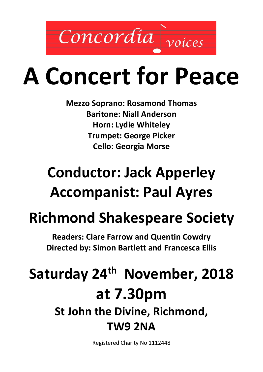

# **A Concert for Peace**

**Mezzo Soprano: Rosamond Thomas Baritone: Niall Anderson Horn: Lydie Whiteley Trumpet: George Picker Cello: Georgia Morse**

## **Conductor: Jack Apperley Accompanist: Paul Ayres**

## **Richmond Shakespeare Society**

**Readers: Clare Farrow and Quentin Cowdry Directed by: Simon Bartlett and Francesca Ellis** 

## **Saturday 24th November, 2018 at 7.30pm St John the Divine, Richmond, TW9 2NA**

Registered Charity No 1112448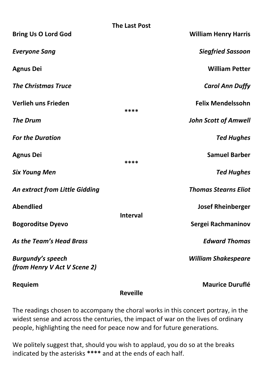|                                                          | <b>The Last Post</b> |                             |
|----------------------------------------------------------|----------------------|-----------------------------|
| <b>Bring Us O Lord God</b>                               |                      | <b>William Henry Harris</b> |
| <b>Everyone Sang</b>                                     |                      | <b>Siegfried Sassoon</b>    |
| <b>Agnus Dei</b>                                         |                      | <b>William Petter</b>       |
| <b>The Christmas Truce</b>                               |                      | <b>Carol Ann Duffy</b>      |
| Verlieh uns Frieden                                      | ****                 | <b>Felix Mendelssohn</b>    |
| <b>The Drum</b>                                          |                      | <b>John Scott of Amwell</b> |
| <b>For the Duration</b>                                  |                      | <b>Ted Hughes</b>           |
| <b>Agnus Dei</b>                                         | ****                 | <b>Samuel Barber</b>        |
| <b>Six Young Men</b>                                     |                      | <b>Ted Hughes</b>           |
| <b>An extract from Little Gidding</b>                    |                      | <b>Thomas Stearns Eliot</b> |
| <b>Abendlied</b>                                         |                      | <b>Josef Rheinberger</b>    |
| <b>Bogoroditse Dyevo</b>                                 | <b>Interval</b>      | Sergei Rachmaninov          |
| As the Team's Head Brass                                 |                      | <b>Edward Thomas</b>        |
| <b>Burgundy's speech</b><br>(from Henry V Act V Scene 2) |                      | <b>William Shakespeare</b>  |
| Requiem                                                  |                      | <b>Maurice Duruflé</b>      |

**Reveille**

The readings chosen to accompany the choral works in this concert portray, in the widest sense and across the centuries, the impact of war on the lives of ordinary people, highlighting the need for peace now and for future generations.

We politely suggest that, should you wish to applaud, you do so at the breaks indicated by the asterisks **\*\*\*\*** and at the ends of each half.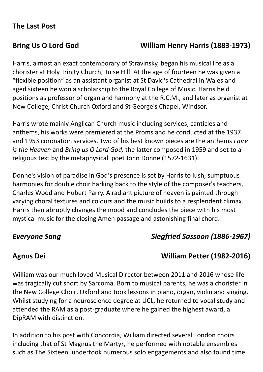### **The Last Post**

### **Bring Us O Lord God William Henry Harris (1883-1973)**

Harris, almost an exact contemporary of Stravinsky, began his musical life as a chorister at Holy Trinity Church, Tulse Hill. At the age of fourteen he was given a "flexible position" as an assistant organist at St David's Cathedral in Wales and aged sixteen he won a scholarship to the Royal College of Music. Harris held positions as professor of organ and harmony at the R.C.M., and later as organist at New College, Christ Church Oxford and St George's Chapel, Windsor.

Harris wrote mainly Anglican Church music including services, canticles and anthems, his works were premiered at the Proms and he conducted at the 1937 and 1953 coronation services. Two of his best known pieces are the anthems *Faire is the Heaven* and *Bring us O Lord God,* the latter composed in 1959 and set to a religious text by the metaphysical poet John Donne (1572-1631).

Donne's vision of paradise in God's presence is set by Harris to lush, sumptuous harmonies for double choir harking back to the style of the composer's teachers, Charles Wood and Hubert Parry. A radiant picture of heaven is painted through varying choral textures and colours and the music builds to a resplendent climax. Harris then abruptly changes the mood and concludes the piece with his most mystical music for the closing Amen passage and astonishing final chord.

### *Everyone Sang Siegfried Sassoon (1886-1967)*

### **Agnus Dei William Petter (1982-2016)**

William was our much loved Musical Director between 2011 and 2016 whose life was tragically cut short by Sarcoma. Born to musical parents, he was a chorister in the New College Choir, Oxford and took lessons in piano, organ, violin and singing. Whilst studying for a neuroscience degree at UCL, he returned to vocal study and attended the RAM as a post-graduate where he gained the highest award, a DipRAM with distinction.

In addition to his post with Concordia, William directed several London choirs including that of St Magnus the Martyr, he performed with notable ensembles such as The Sixteen, undertook numerous solo engagements and also found time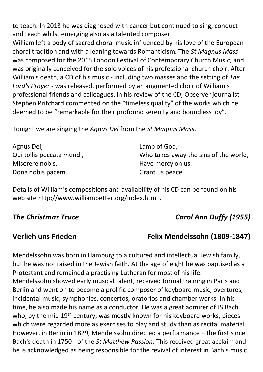to teach. In 2013 he was diagnosed with cancer but continued to sing, conduct and teach whilst emerging also as a talented composer.

William left a body of sacred choral music influenced by his love of the European choral tradition and with a leaning towards Romanticism. The *St Magnus Mass* was composed for the 2015 London Festival of Contemporary Church Music, and was originally conceived for the solo voices of his professional church choir. After William's death, a CD of his music - including two masses and the setting of *The Lord's Prayer* - was released, performed by an augmented choir of William's professional friends and colleagues. In his review of the CD, Observer journalist Stephen Pritchard commented on the "timeless quality" of the works which he deemed to be "remarkable for their profound serenity and boundless joy".

Tonight we are singing the *Agnus Dei* from the *St Magnus Mass*.

| Agnus Dei,                | Lamb of God,                          |  |
|---------------------------|---------------------------------------|--|
| Qui tollis peccata mundi, | Who takes away the sins of the world, |  |
| Miserere nobis.           | Have mercy on us.                     |  |
| Dona nobis pacem.         | Grant us peace.                       |  |

Details of William's compositions and availability of his CD can be found on his web site<http://www.williampetter.org/index.html> .

### *The Christmas Truce Carol Ann Duffy (1955)*

### **Verlieh uns Frieden Felix Mendelssohn (1809-1847)**

Mendelssohn was born in Hamburg to a cultured and intellectual Jewish family, but he was not raised in the Jewish faith. At the age of eight he was baptised as a Protestant and remained a practising Lutheran for most of his life. Mendelssohn showed early musical talent, received formal training in Paris and Berlin and went on to become a prolific composer of keyboard music, overtures, incidental music, symphonies, concertos, oratorios and chamber works. In his time, he also made his name as a conductor. He was a great admirer of JS Bach who, by the mid 19<sup>th</sup> century, was mostly known for his keyboard works, pieces which were regarded more as exercises to play and study than as recital material. However, in Berlin in 1829, Mendelssohn directed a performance – the first since Bach's death in 1750 - of the *St Matthew Passion*. This received great acclaim and he is acknowledged as being responsible for the revival of interest in Bach's music.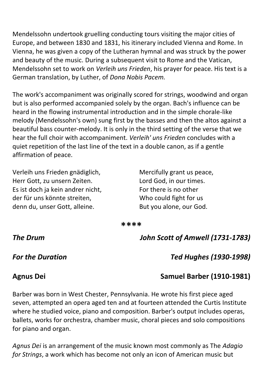Mendelssohn undertook gruelling conducting tours visiting the major cities of Europe, and between 1830 and 1831, his itinerary included Vienna and Rome. In Vienna, he was given a copy of the Lutheran hymnal and was struck by the power and beauty of the music. During a subsequent visit to Rome and the Vatican, Mendelssohn set to work on *Verleih uns Frieden*, his prayer for peace. His text is a German translation, by Luther, of *Dona Nobis Pacem.*

The work's accompaniment was originally scored for strings, woodwind and organ but is also performed accompanied solely by the organ. Bach's influence can be heard in the flowing instrumental introduction and in the simple chorale-like melody (Mendelssohn's own) sung first by the basses and then the altos against a beautiful bass counter-melody. It is only in the third setting of the verse that we hear the full choir with accompaniment. *Verleih' uns Frieden* concludes with a quiet repetition of the last line of the text in a double canon, as if a gentle affirmation of peace.

Verleih uns Frieden gnädiglich, Herr Gott, zu unsern Zeiten. Es ist doch ja kein andrer nicht, der für uns könnte streiten, denn du, unser Gott, alleine.

Mercifully grant us peace, Lord God, in our times. For there is no other Who could fight for us But you alone, our God.

**\*\*\*\***

*The Drum John Scott of Amwell (1731-1783)*

*For the Duration Ted Hughes (1930-1998)*

### **Agnus Dei Samuel Barber (1910-1981)**

Barber was born in West Chester, Pennsylvania. He wrote his first piece aged seven, attempted an opera aged ten and at fourteen attended the Curtis Institute where he studied voice, piano and composition. Barber's output includes operas, ballets, works for orchestra, chamber music, choral pieces and solo compositions for piano and organ.

*Agnus Dei* is an arrangement of the music known most commonly as The *Adagio for Strings*, a work which has become not only an icon of American music but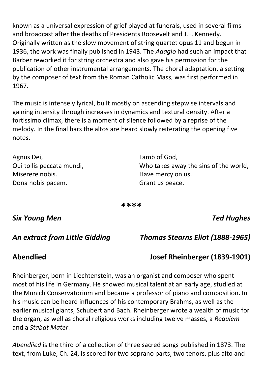known as a universal expression of grief played at funerals, used in several films and broadcast after the deaths of Presidents Roosevelt and J.F. Kennedy. Originally written as the slow movement of string quartet opus 11 and begun in 1936, the work was finally published in 1943. The *Adagio* had such an impact that Barber reworked it for string orchestra and also gave his permission for the publication of other instrumental arrangements. The choral adaptation, a setting by the composer of text from the Roman Catholic Mass, was first performed in 1967.

The music is intensely lyrical, built mostly on ascending stepwise intervals and gaining intensity through increases in dynamics and textural density. After a fortissimo climax, there is a moment of silence followed by a reprise of the melody. In the final bars the altos are heard slowly reiterating the opening five notes.

Agnus Dei, Qui tollis peccata mundi, Miserere nobis. Dona nobis pacem.

Lamb of God, Who takes away the sins of the world, Have mercy on us. Grant us peace.

**\*\*\*\***

### *Six Young Men Ted Hughes*

*An extract from Little Gidding Thomas Stearns Eliot (1888-1965)*

### **Abendlied Josef Rheinberger (1839-1901)**

Rheinberger, born in Liechtenstein, was an organist and composer who spent most of his life in Germany. He showed musical talent at an early age, studied at the Munich Conservatorium and became a professor of piano and composition. In his music can be heard influences of his contemporary Brahms, as well as the earlier musical giants, Schubert and Bach. Rheinberger wrote a wealth of music for the organ, as well as choral religious works including twelve masses, a *Requiem* and a *Stabat Mater*.

*Abendlied* is the third of a collection of three sacred songs published in 1873. The text, from Luke, Ch. 24, is scored for two soprano parts, two tenors, plus alto and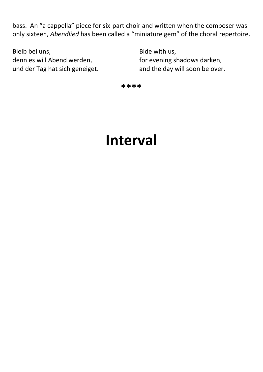bass. An "a cappella" piece for six-part choir and written when the composer was only sixteen, *Abendlied* has been called a "miniature gem" of the choral repertoire.

Bleib bei uns, denn es will Abend werden, und der Tag hat sich geneiget. Bide with us, for evening shadows darken, and the day will soon be over.

**\*\*\*\***

## **Interval**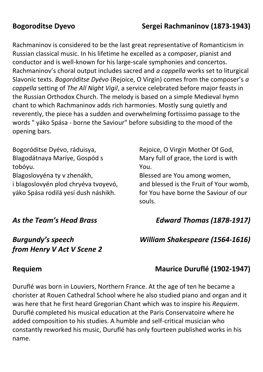### **Bogoroditse Dyevo Sergei Rachmaninov (1873-1943)**

Rachmaninov is considered to be the last great representative of Romanticism in Russian classical music. In his lifetime he excelled as a composer, pianist and conductor and is well-known for his large-scale symphonies and concertos. Rachmaninov's choral output includes sacred and *a cappella* works set to liturgical Slavonic texts. *Bogoróditse Dyévo* (Rejoice, O Virgin) comes from the composer's *a cappella* setting of *The All Night Vigil*, a service celebrated before major feasts in the Russian Orthodox Church. The melody is based on a simple Medieval hymn chant to which Rachmaninov adds rich harmonies. Mostly sung quietly and reverently, the piece has a sudden and overwhelming fortissimo passage to the words " yáko Spása - borne the Saviour" before subsiding to the mood of the opening bars.

Bogoróditse Dyévo, ráduisya, Blagodátnaya Maríye, Gospód s tobóyu. Blagoslovyéna ty v zhenákh, i blagoslovyén plod chryéva tvoyevó, yáko Spása rodilá yesí dush náshikh.

Rejoice, O Virgin Mother Of God, Mary full of grace, the Lord is with You.

Blessed are You among women, and blessed is the Fruit of Your womb, for You have borne the Saviour of our souls.

### *As the Team's Head Brass Edward Thomas (1878-1917)*

### *Burgundy's speech William Shakespeare (1564-1616) from Henry V Act V Scene 2*

### **Requiem Maurice Duruflé (1902-1947)**

Duruflé was born in Louviers, Northern France. At the age of ten he became a chorister at Rouen Cathedral School where he also studied piano and organ and it was here that he first heard Gregorian Chant which was to inspire his *Requiem*. Duruflé completed his musical education at the Paris Conservatoire where he added composition to his studies. A humble and self-critical musician who constantly reworked his music, Duruflé has only fourteen published works in his name.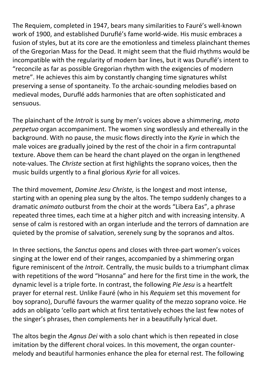The Requiem, completed in 1947, bears many similarities to Fauré's well-known work of 1900, and established Duruflé's fame world-wide. His music embraces a fusion of styles, but at its core are the emotionless and timeless plainchant themes of the Gregorian Mass for the Dead. It might seem that the fluid rhythms would be incompatible with the regularity of modern bar lines, but it was Duruflé's intent to "reconcile as far as possible Gregorian rhythm with the exigencies of modern metre". He achieves this aim by constantly changing time signatures whilst preserving a sense of spontaneity. To the archaic-sounding melodies based on medieval modes, Duruflé adds harmonies that are often sophisticated and sensuous.

The plainchant of the *Introit* is sung by men's voices above a shimmering, *moto perpetuo* organ accompaniment. The women sing wordlessly and ethereally in the background. With no pause, the music flows directly into the *Kyrie* in which the male voices are gradually joined by the rest of the choir in a firm contrapuntal texture. Above them can be heard the chant played on the organ in lengthened note-values. The *Christe* section at first highlights the soprano voices, then the music builds urgently to a final glorious *Kyrie* for all voices.

The third movement, *Domine Jesu Christe,* is the longest and most intense, starting with an opening plea sung by the altos. The tempo suddenly changes to a dramatic *animato* outburst from the choir at the words "Libera Eas", a phrase repeated three times, each time at a higher pitch and with increasing intensity. A sense of calm is restored with an organ interlude and the terrors of damnation are quieted by the promise of salvation, serenely sung by the sopranos and altos.

In three sections, the *Sanctus* opens and closes with three-part women's voices singing at the lower end of their ranges, accompanied by a shimmering organ figure reminiscent of the *Introit*. Centrally, the music builds to a triumphant climax with repetitions of the word "Hosanna" and here for the first time in the work, the dynamic level is a triple forte. In contrast, the following *Pie Jesu* is a heartfelt prayer for eternal rest. Unlike Fauré (who in his *Requiem* set this movement for boy soprano), Duruflé favours the warmer quality of the mezzo soprano voice. He adds an obligato 'cello part which at first tentatively echoes the last few notes of the singer's phrases, then complements her in a beautifully lyrical duet.

The altos begin the *Agnus Dei* with a solo chant which is then repeated in close imitation by the different choral voices. In this movement, the organ countermelody and beautiful harmonies enhance the plea for eternal rest. The following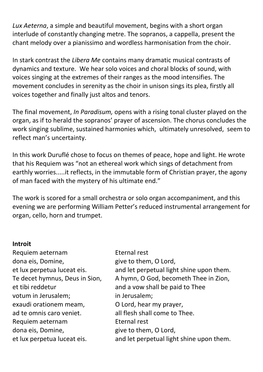*Lux Aeterna*, a simple and beautiful movement, begins with a short organ interlude of constantly changing metre. The sopranos, a cappella, present the chant melody over a pianissimo and wordless harmonisation from the choir.

In stark contrast the *Libera Me* contains many dramatic musical contrasts of dynamics and texture. We hear solo voices and choral blocks of sound, with voices singing at the extremes of their ranges as the mood intensifies. The movement concludes in serenity as the choir in unison sings its plea, firstly all voices together and finally just altos and tenors.

The final movement, *In Paradisum,* opens with a rising tonal cluster played on the organ, as if to herald the sopranos' prayer of ascension. The chorus concludes the work singing sublime, sustained harmonies which, ultimately unresolved, seem to reflect man's uncertainty.

In this work Duruflé chose to focus on themes of peace, hope and light. He wrote that his Requiem was "not an ethereal work which sings of detachment from earthly worries.....it reflects, in the immutable form of Christian prayer, the agony of man faced with the mystery of his ultimate end."

The work is scored for a small orchestra or solo organ accompaniment, and this evening we are performing William Petter's reduced instrumental arrangement for organ, cello, horn and trumpet.

### **Introit**

Requiem aeternam dona eis, Domine, et lux perpetua luceat eis. Te decet hymnus, Deus in Sion, et tibi reddetur votum in Jerusalem; exaudi orationem meam, ad te omnis caro veniet. Requiem aeternam dona eis, Domine, et lux perpetua luceat eis.

Eternal rest give to them, O Lord, and let perpetual light shine upon them. A hymn, O God, becometh Thee in Zion, and a vow shall be paid to Thee in Jerusalem; O Lord, hear my prayer, all flesh shall come to Thee. Eternal rest give to them, O Lord, and let perpetual light shine upon them.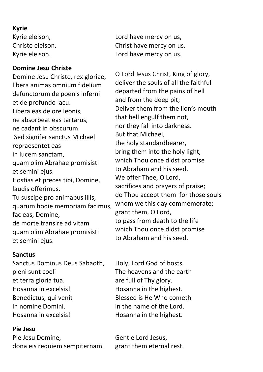### **Kyrie**

Kyrie eleison, Christe eleison. Kyrie eleison.

### **Domine Jesu Christe**

Domine Jesu Christe, rex gloriae, libera animas omnium fidelium defunctorum de poenis inferni et de profundo lacu. Libera eas de ore leonis, ne absorbeat eas tartarus, ne cadant in obscurum. Sed signifer sanctus Michael repraesentet eas in lucem sanctam, quam olim Abrahae promisisti et semini ejus. Hostias et preces tibi, Domine, laudis offerimus. Tu suscipe pro animabus illis, quarum hodie memoriam facimus, fac eas, Domine, de morte transire ad vitam quam olim Abrahae promisisti et semini ejus.

### **Sanctus**

Sanctus Dominus Deus Sabaoth, pleni sunt coeli et terra gloria tua. Hosanna in excelsis! Benedictus, qui venit in nomine Domini. Hosanna in excelsis!

### **Pie Jesu**

Pie Jesu Domine, dona eis requiem sempiternam. Lord have mercy on us, Christ have mercy on us. Lord have mercy on us.

O Lord Jesus Christ, King of glory, deliver the souls of all the faithful departed from the pains of hell and from the deep pit; Deliver them from the lion's mouth that hell engulf them not, nor they fall into darkness. But that Michael, the holy standardbearer, bring them into the holy light, which Thou once didst promise to Abraham and his seed. We offer Thee, O Lord, sacrifices and prayers of praise; do Thou accept them for those souls whom we this day commemorate; grant them, O Lord, to pass from death to the life which Thou once didst promise to Abraham and his seed.

Holy, Lord God of hosts. The heavens and the earth are full of Thy glory. Hosanna in the highest. Blessed is He Who cometh in the name of the Lord. Hosanna in the highest.

Gentle Lord Jesus, grant them eternal rest.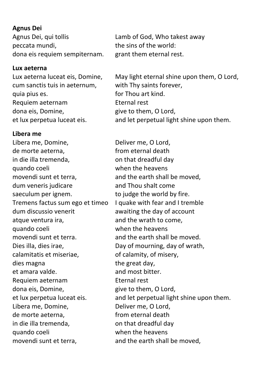### **Agnus Dei**

Agnus Dei, qui tollis peccata mundi, dona eis requiem sempiternam.

### **Lux aeterna**

Lux aeterna luceat eis, Domine, cum sanctis tuis in aeternum, quia pius es. Requiem aeternam dona eis, Domine, et lux perpetua luceat eis.

### **Libera me**

Libera me, Domine, de morte aeterna, in die illa tremenda, quando coeli movendi sunt et terra, dum veneris judicare saeculum per ignem. Tremens factus sum ego et timeo dum discussio venerit atque ventura ira, quando coeli movendi sunt et terra. Dies illa, dies irae, calamitatis et miseriae, dies magna et amara valde. Requiem aeternam dona eis, Domine, et lux perpetua luceat eis. Libera me, Domine, de morte aeterna, in die illa tremenda, quando coeli movendi sunt et terra,

Lamb of God, Who takest away the sins of the world: grant them eternal rest.

May light eternal shine upon them, O Lord, with Thy saints forever, for Thou art kind. Eternal rest give to them, O Lord, and let perpetual light shine upon them.

Deliver me, O Lord, from eternal death on that dreadful day when the heavens and the earth shall be moved, and Thou shalt come to judge the world by fire. I quake with fear and I tremble awaiting the day of account and the wrath to come, when the heavens and the earth shall be moved. Day of mourning, day of wrath, of calamity, of misery, the great day, and most bitter. Eternal rest give to them, O Lord, and let perpetual light shine upon them. Deliver me, O Lord, from eternal death on that dreadful day when the heavens and the earth shall be moved,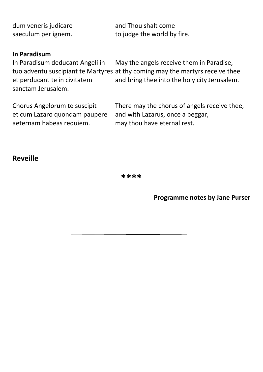| dum veneris judicare | and Thou shalt come         |
|----------------------|-----------------------------|
| saeculum per ignem.  | to judge the world by fire. |
|                      |                             |

### **In Paradisum**

In Paradisum deducant Angeli in tuo adventu suscipiant te Martyres at thy coming may the martyrs receive thee et perducant te in civitatem sanctam Jerusalem. May the angels receive them in Paradise, and bring thee into the holy city Jerusalem.

Chorus Angelorum te suscipit et cum Lazaro quondam paupere aeternam habeas requiem.

There may the chorus of angels receive thee, and with Lazarus, once a beggar, may thou have eternal rest.

### **Reveille**

**\*\*\*\***

**Programme notes by Jane Purser**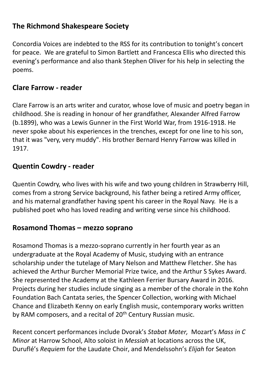### **The Richmond Shakespeare Society**

Concordia Voices are indebted to the RSS for its contribution to tonight's concert for peace. We are grateful to Simon Bartlett and Francesca Ellis who directed this evening's performance and also thank Stephen Oliver for his help in selecting the poems.

### **Clare Farrow - reader**

Clare Farrow is an arts writer and curator, whose love of music and poetry began in childhood. She is reading in honour of her grandfather, Alexander Alfred Farrow (b.1899), who was a Lewis Gunner in the First World War, from 1916-1918. He never spoke about his experiences in the trenches, except for one line to his son, that it was "very, very muddy". His brother Bernard Henry Farrow was killed in 1917.

### **Quentin Cowdry - reader**

Quentin Cowdry, who lives with his wife and two young children in Strawberry Hill, comes from a strong Service background, his father being a retired Army officer, and his maternal grandfather having spent his career in the Royal Navy. He is a published poet who has loved reading and writing verse since his childhood.

### **Rosamond Thomas – mezzo soprano**

Rosamond Thomas is a mezzo-soprano currently in her fourth year as an undergraduate at the Royal Academy of Music, studying with an entrance scholarship under the tutelage of Mary Nelson and Matthew Fletcher. She has achieved the Arthur Burcher Memorial Prize twice, and the Arthur S Sykes Award. She represented the Academy at the Kathleen Ferrier Bursary Award in 2016. Projects during her studies include singing as a member of the chorale in the Kohn Foundation Bach Cantata series, the Spencer Collection, working with Michael Chance and Elizabeth Kenny on early English music, contemporary works written by RAM composers, and a recital of 20<sup>th</sup> Century Russian music.

Recent concert performances include Dvorak's *Stabat Mater,* Mozart's *Mass in C Minor* at Harrow School, Alto soloist in *Messiah* at locations across the UK, Duruflé's *Requiem* for the Laudate Choir, and Mendelssohn's *Elijah* for Seaton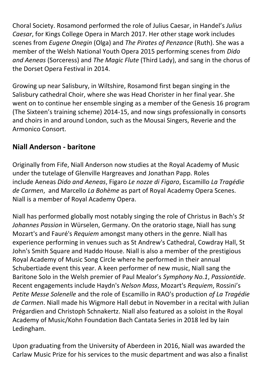Choral Society. Rosamond performed the role of Julius Caesar, in Handel's *Julius Caesar*, for Kings College Opera in March 2017. Her other stage work includes scenes from *Eugene Onegin* (Olga) and *The Pirates of Penzance* (Ruth). She was a member of the Welsh National Youth Opera 2015 performing scenes from *Dido and Aeneas* (Sorceress) and *The Magic Flute* (Third Lady), and sang in the chorus of the Dorset Opera Festival in 2014.

Growing up near Salisbury, in Wiltshire, Rosamond first began singing in the Salisbury cathedral Choir, where she was Head Chorister in her final year. She went on to continue her ensemble singing as a member of the Genesis 16 program (The Sixteen's training scheme) 2014-15, and now sings professionally in consorts and choirs in and around London, such as the Mousai Singers, Reverie and the Armonico Consort.

### **Niall Anderson - baritone**

Originally from Fife, Niall Anderson now studies at the Royal Academy of Music under the tutelage of Glenville Hargreaves and Jonathan Papp. Roles include Aeneas *Dido and Aeneas*, Figaro *Le nozze di Figaro*, Escamillo *La Tragédie de Carmen*, and Marcello *La Bohème* as part of Royal Academy Opera Scenes. Niall is a member of Royal Academy Opera.

Niall has performed globally most notably singing the role of Christus in Bach's *St Johannes Passion* in Würselen, Germany. On the oratorio stage, Niall has sung Mozart's and Fauré's *Requiem* amongst many others in the genre. Niall has experience performing in venues such as St Andrew's Cathedral, Cowdray Hall, St John's Smith Square and Haddo House. Niall is also a member of the prestigious Royal Academy of Music Song Circle where he performed in their annual Schubertiade event this year. A keen performer of new music, Niall sang the Baritone Solo in the Welsh premier of Paul Mealor's *Symphony No.1*, *Passiontide*. Recent engagements include Haydn's *Nelson Mass*, Mozart's *Requiem*, Rossini's *Petite Messe Solenelle* and the role of Escamillo in RAO's production *of La Tragédie de Carmen*. Niall made his Wigmore Hall debut in November in a recital with Julian Prégardien and Christoph Schnakertz. Niall also featured as a soloist in the Royal Academy of Music/Kohn Foundation Bach Cantata Series in 2018 led by Iain Ledingham.

Upon graduating from the University of Aberdeen in 2016, Niall was awarded the Carlaw Music Prize for his services to the music department and was also a finalist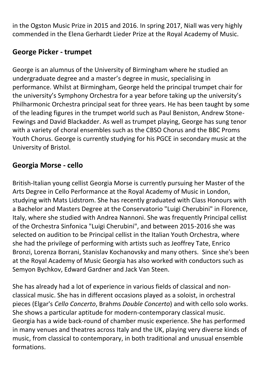in the Ogston Music Prize in 2015 and 2016. In spring 2017, Niall was very highly commended in the Elena Gerhardt Lieder Prize at the Royal Academy of Music.

### **George Picker - trumpet**

George is an alumnus of the University of Birmingham where he studied an undergraduate degree and a master's degree in music, specialising in performance. Whilst at Birmingham, George held the principal trumpet chair for the university's Symphony Orchestra for a year before taking up the university's Philharmonic Orchestra principal seat for three years. He has been taught by some of the leading figures in the trumpet world such as Paul Beniston, Andrew Stone-Fewings and David Blackadder. As well as trumpet playing, George has sung tenor with a variety of choral ensembles such as the CBSO Chorus and the BBC Proms Youth Chorus. George is currently studying for his PGCE in secondary music at the University of Bristol.

### **Georgia Morse - cello**

British-Italian young cellist Georgia Morse is currently pursuing her Master of the Arts Degree in Cello Performance at the Royal Academy of Music in London, studying with Mats Lidstrom. She has recently graduated with Class Honours with a Bachelor and Masters Degree at the Conservatorio "Luigi Cherubini" in Florence, Italy, where she studied with Andrea Nannoni. She was frequently Principal cellist of the Orchestra Sinfonica "Luigi Cherubini", and between 2015-2016 she was selected on audition to be Principal cellist in the Italian Youth Orchestra, where she had the privilege of performing with artists such as Jeoffrey Tate, Enrico Bronzi, Lorenza Borrani, Stanislav Kochanovsky and many others. Since she's been at the Royal Academy of Music Georgia has also worked with conductors such as Semyon Bychkov, Edward Gardner and Jack Van Steen.

She has already had a lot of experience in various fields of classical and nonclassical music. She has in different occasions played as a soloist, in orchestral pieces (Elgar's *Cello Concerto*, Brahms *Double Concerto*) and with cello solo works. She shows a particular aptitude for modern-contemporary classical music. Georgia has a wide back-round of chamber music experience. She has performed in many venues and theatres across Italy and the UK, playing very diverse kinds of music, from classical to contemporary, in both traditional and unusual ensemble formations.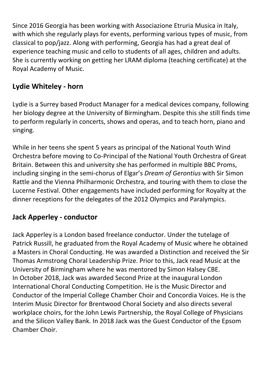Since 2016 Georgia has been working with Associazione Etruria Musica in Italy, with which she regularly plays for events, performing various types of music, from classical to pop/jazz. Along with performing, Georgia has had a great deal of experience teaching music and cello to students of all ages, children and adults. She is currently working on getting her LRAM diploma (teaching certificate) at the Royal Academy of Music.

### **Lydie Whiteley - horn**

Lydie is a Surrey based Product Manager for a medical devices company, following her biology degree at the University of Birmingham. Despite this she still finds time to perform regularly in concerts, shows and operas, and to teach horn, piano and singing.

While in her teens she spent 5 years as principal of the National Youth Wind Orchestra before moving to Co-Principal of the National Youth Orchestra of Great Britain. Between this and university she has performed in multiple BBC Proms, including singing in the semi-chorus of Elgar's *Dream of Gerontius* with Sir Simon Rattle and the Vienna Philharmonic Orchestra, and touring with them to close the Lucerne Festival. Other engagements have included performing for Royalty at the dinner receptions for the delegates of the 2012 Olympics and Paralympics.

### **Jack Apperley - conductor**

Jack Apperley is a London based freelance conductor. Under the tutelage of Patrick Russill, he graduated from the Royal Academy of Music where he obtained a Masters in Choral Conducting. He was awarded a Distinction and received the Sir Thomas Armstrong Choral Leadership Prize. Prior to this, Jack read Music at the University of Birmingham where he was mentored by Simon Halsey CBE. In October 2018, Jack was awarded Second Prize at the inaugural London International Choral Conducting Competition. He is the Music Director and Conductor of the Imperial College Chamber Choir and Concordia Voices. He is the Interim Music Director for Brentwood Choral Society and also directs several workplace choirs, for the John Lewis Partnership, the Royal College of Physicians and the Silicon Valley Bank. In 2018 Jack was the Guest Conductor of the Epsom Chamber Choir.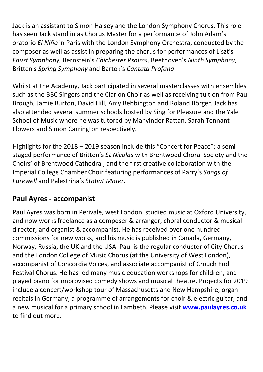Jack is an assistant to Simon Halsey and the London Symphony Chorus. This role has seen Jack stand in as Chorus Master for a performance of John Adam's oratorio *El Niňo* in Paris with the London Symphony Orchestra, conducted by the composer as well as assist in preparing the chorus for performances of Liszt's *Faust Symphony*, Bernstein's *Chichester Psalms*, Beethoven's *Ninth Symphony*, Britten's *Spring Symphony* and Bartók's *Cantata Profana*.

Whilst at the Academy, Jack participated in several masterclasses with ensembles such as the BBC Singers and the Clarion Choir as well as receiving tuition from Paul Brough, Jamie Burton, David Hill, Amy Bebbington and Roland Börger. Jack has also attended several summer schools hosted by Sing for Pleasure and the Yale School of Music where he was tutored by Manvinder Rattan, Sarah Tennant-Flowers and Simon Carrington respectively.

Highlights for the 2018 – 2019 season include this "Concert for Peace"; a semistaged performance of Britten's *St Nicolas* with Brentwood Choral Society and the Choirs' of Brentwood Cathedral; and the first creative collaboration with the Imperial College Chamber Choir featuring performances of Parry's *Songs of Farewell* and Palestrina's *Stabat Mater*.

### **Paul Ayres - accompanist**

Paul Ayres was born in Perivale, west London, studied music at Oxford University, and now works freelance as a composer & arranger, choral conductor & musical director, and organist & accompanist. He has received over one hundred commissions for new works, and his music is published in Canada, Germany, Norway, Russia, the UK and the USA. Paul is the regular conductor of City Chorus and the London College of Music Chorus (at the University of West London), accompanist of Concordia Voices, and associate accompanist of Crouch End Festival Chorus. He has led many music education workshops for children, and played piano for improvised comedy shows and musical theatre. Projects for 2019 include a concert/workshop tour of Massachusetts and New Hampshire, organ recitals in Germany, a programme of arrangements for choir & electric guitar, and a new musical for a primary school in Lambeth. Please visit **[www.paulayres.co.uk](http://www.paulayres.co.uk/)** to find out more.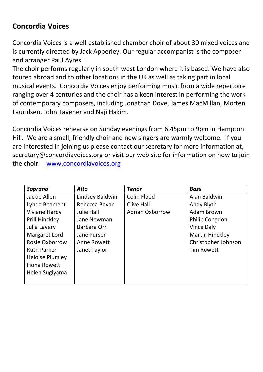### **Concordia Voices**

Concordia Voices is a well-established chamber choir of about 30 mixed voices and is currently directed by Jack Apperley. Our regular accompanist is the composer and arranger Paul Ayres.

The choir performs regularly in south-west London where it is based. We have also toured abroad and to other locations in the UK as well as taking part in local musical events. Concordia Voices enjoy performing music from a wide repertoire ranging over 4 centuries and the choir has a keen interest in performing the work of contemporary composers, including Jonathan Dove, James MacMillan, Morten Lauridsen, John Tavener and Naji Hakim.

Concordia Voices rehearse on Sunday evenings from 6.45pm to 9pm in Hampton Hill. We are a small, friendly choir and new singers are warmly welcome. If you are interested in joining us please contact our secretary for more information at, [secretary@concordiavoices.org](mailto:secretary@concordiavoices.org) or visit our web site for information on how to join the choir. [www.concordiavoices.org](http://www.concordiavoices.org/)

| <b>Soprano</b>         | <b>Alto</b>       | <b>Tenor</b>           | <b>Bass</b>            |
|------------------------|-------------------|------------------------|------------------------|
| Jackie Allen           | Lindsey Baldwin   | Colin Flood            | Alan Baldwin           |
| Lynda Beament          | Rebecca Bevan     | <b>Clive Hall</b>      | Andy Blyth             |
| Viviane Hardy          | <b>Julie Hall</b> | <b>Adrian Oxborrow</b> | <b>Adam Brown</b>      |
| Prill Hinckley         | Jane Newman       |                        | Philip Congdon         |
| Julia Lavery           | Barbara Orr       |                        | Vince Daly             |
| Margaret Lord          | Jane Purser       |                        | <b>Martin Hinckley</b> |
| Rosie Oxborrow         | Anne Rowett       |                        | Christopher Johnson    |
| <b>Ruth Parker</b>     | Janet Taylor      |                        | <b>Tim Rowett</b>      |
| <b>Heloise Plumley</b> |                   |                        |                        |
| <b>Fiona Rowett</b>    |                   |                        |                        |
| Helen Sugiyama         |                   |                        |                        |
|                        |                   |                        |                        |